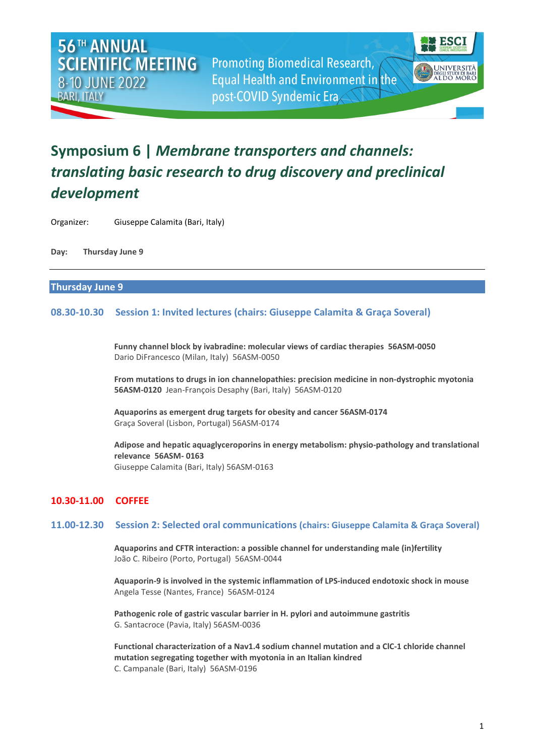**Promoting Biomedical Research, Equal Health and Environment in the** post-COVID Syndemic Era



# **Symposium 6 |** *Membrane transporters and channels: translating basic research to drug discovery and preclinical development*

Organizer: Giuseppe Calamita (Bari, Italy)

**Day: Thursday June 9**

#### **Thursday June 9**

# **08.30-10.30 Session 1: Invited lectures (chairs: Giuseppe Calamita & Graça Soveral)**

**Funny channel block by ivabradine: molecular views of cardiac therapies 56ASM-0050** Dario DiFrancesco (Milan, Italy) 56ASM-0050

**From mutations to drugs in ion channelopathies: precision medicine in non-dystrophic myotonia 56ASM-0120** Jean-François Desaphy (Bari, Italy) 56ASM-0120

**Aquaporins as emergent drug targets for obesity and cancer 56ASM-0174** Graça Soveral (Lisbon, Portugal) 56ASM-0174

**Adipose and hepatic aquaglyceroporins in energy metabolism: physio-pathology and translational relevance 56ASM- 0163** Giuseppe Calamita (Bari, Italy) 56ASM-0163

# **10.30-11.00 COFFEE**

#### **11.00-12.30 Session 2: Selected oral communications (chairs: Giuseppe Calamita & Graça Soveral)**

**Aquaporins and CFTR interaction: a possible channel for understanding male (in)fertility** João C. Ribeiro (Porto, Portugal) 56ASM-0044

**Aquaporin-9 is involved in the systemic inflammation of LPS-induced endotoxic shock in mouse** Angela Tesse (Nantes, France) 56ASM-0124

**Pathogenic role of gastric vascular barrier in H. pylori and autoimmune gastritis** G. Santacroce (Pavia, Italy) 56ASM-0036

**Functional characterization of a Nav1.4 sodium channel mutation and a ClC-1 chloride channel mutation segregating together with myotonia in an Italian kindred** C. Campanale (Bari, Italy) 56ASM-0196